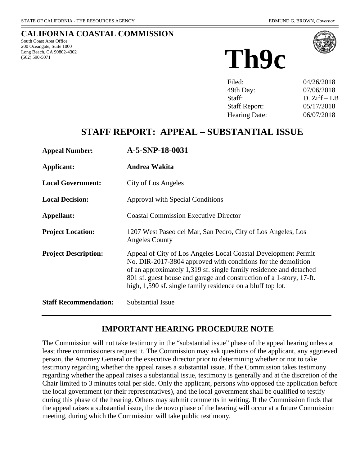#### **CALIFORNIA COASTAL COMMISSION**

South Coast Area Office 200 Oceangate, Suite 1000 Long Beach, CA 90802-4302 (562) 590-5071





| Filed:               | 04/26/2018   |
|----------------------|--------------|
| 49th Day:            | 07/06/2018   |
| Staff:               | $D. Ziff-LB$ |
| <b>Staff Report:</b> | 05/17/2018   |
| Hearing Date:        | 06/07/2018   |

# **STAFF REPORT: APPEAL – SUBSTANTIAL ISSUE**

| <b>Appeal Number:</b>        | A-5-SNP-18-0031                                                                                                                                                                                                                                                                                                                              |
|------------------------------|----------------------------------------------------------------------------------------------------------------------------------------------------------------------------------------------------------------------------------------------------------------------------------------------------------------------------------------------|
| Applicant:                   | Andrea Wakita                                                                                                                                                                                                                                                                                                                                |
| <b>Local Government:</b>     | City of Los Angeles                                                                                                                                                                                                                                                                                                                          |
| <b>Local Decision:</b>       | Approval with Special Conditions                                                                                                                                                                                                                                                                                                             |
| Appellant:                   | <b>Coastal Commission Executive Director</b>                                                                                                                                                                                                                                                                                                 |
| <b>Project Location:</b>     | 1207 West Paseo del Mar, San Pedro, City of Los Angeles, Los<br><b>Angeles County</b>                                                                                                                                                                                                                                                        |
| <b>Project Description:</b>  | Appeal of City of Los Angeles Local Coastal Development Permit<br>No. DIR-2017-3804 approved with conditions for the demolition<br>of an approximately 1,319 sf. single family residence and detached<br>801 sf. guest house and garage and construction of a 1-story, 17-ft.<br>high, 1,590 sf. single family residence on a bluff top lot. |
| <b>Staff Recommendation:</b> | <b>Substantial Issue</b>                                                                                                                                                                                                                                                                                                                     |

#### **IMPORTANT HEARING PROCEDURE NOTE**

The Commission will not take testimony in the "substantial issue" phase of the appeal hearing unless at least three commissioners request it. The Commission may ask questions of the applicant, any aggrieved person, the Attorney General or the executive director prior to determining whether or not to take testimony regarding whether the appeal raises a substantial issue. If the Commission takes testimony regarding whether the appeal raises a substantial issue, testimony is generally and at the discretion of the Chair limited to 3 minutes total per side. Only the applicant, persons who opposed the application before the local government (or their representatives), and the local government shall be qualified to testify during this phase of the hearing. Others may submit comments in writing. If the Commission finds that the appeal raises a substantial issue, the de novo phase of the hearing will occur at a future Commission meeting, during which the Commission will take public testimony.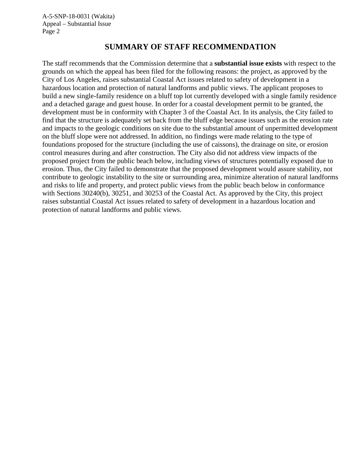#### **SUMMARY OF STAFF RECOMMENDATION**

The staff recommends that the Commission determine that a **substantial issue exists** with respect to the grounds on which the appeal has been filed for the following reasons: the project, as approved by the City of Los Angeles, raises substantial Coastal Act issues related to safety of development in a hazardous location and protection of natural landforms and public views. The applicant proposes to build a new single-family residence on a bluff top lot currently developed with a single family residence and a detached garage and guest house. In order for a coastal development permit to be granted, the development must be in conformity with Chapter 3 of the Coastal Act. In its analysis, the City failed to find that the structure is adequately set back from the bluff edge because issues such as the erosion rate and impacts to the geologic conditions on site due to the substantial amount of unpermitted development on the bluff slope were not addressed. In addition, no findings were made relating to the type of foundations proposed for the structure (including the use of caissons), the drainage on site, or erosion control measures during and after construction. The City also did not address view impacts of the proposed project from the public beach below, including views of structures potentially exposed due to erosion. Thus, the City failed to demonstrate that the proposed development would assure stability, not contribute to geologic instability to the site or surrounding area, minimize alteration of natural landforms and risks to life and property, and protect public views from the public beach below in conformance with Sections 30240(b), 30251, and 30253 of the Coastal Act. As approved by the City, this project raises substantial Coastal Act issues related to safety of development in a hazardous location and protection of natural landforms and public views.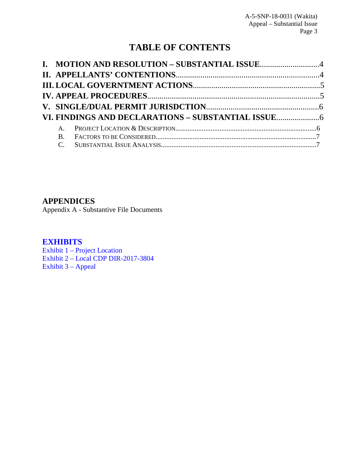# **TABLE OF CONTENTS**

|  | VI. FINDINGS AND DECLARATIONS - SUBSTANTIAL ISSUE |  |
|--|---------------------------------------------------|--|
|  |                                                   |  |
|  |                                                   |  |
|  |                                                   |  |

#### **[APPENDICES](#page-11-0)**

[Appendix A - Substantive File Documents](#page-11-0)

#### **[EXHIBITS](https://documents.coastal.ca.gov/reports/2018/6/th9c/th9c-6-2018-exhibits.pdf)**

[Exhibit 1 – Project Location](https://documents.coastal.ca.gov/reports/2018/6/th9c/th9c-6-2018-exhibits.pdf)  [Exhibit 2 – Local CDP DIR-2017-3804](https://documents.coastal.ca.gov/reports/2018/6/th9c/th9c-6-2018-exhibits.pdf)  [Exhibit 3 – Appeal](https://documents.coastal.ca.gov/reports/2018/6/th9c/th9c-6-2018-exhibits.pdf)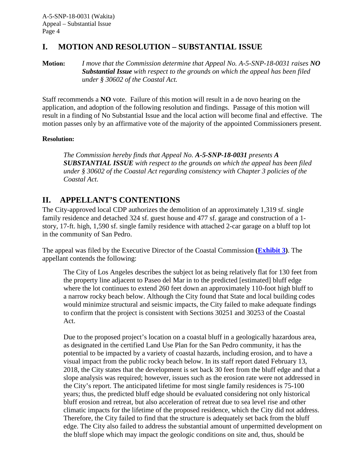### <span id="page-3-0"></span>**I. MOTION AND RESOLUTION – SUBSTANTIAL ISSUE**

**Motion:** *I move that the Commission determine that Appeal No. A-5-SNP-18-0031 raises NO Substantial Issue with respect to the grounds on which the appeal has been filed under § 30602 of the Coastal Act.*

Staff recommends a **NO** vote. Failure of this motion will result in a de novo hearing on the application, and adoption of the following resolution and findings. Passage of this motion will result in a finding of No Substantial Issue and the local action will become final and effective. The motion passes only by an affirmative vote of the majority of the appointed Commissioners present.

#### **Resolution:**

*The Commission hereby finds that Appeal No. A-5-SNP-18-0031 presents A SUBSTANTIAL ISSUE with respect to the grounds on which the appeal has been filed under § 30602 of the Coastal Act regarding consistency with Chapter 3 policies of the Coastal Act*.

# <span id="page-3-1"></span>**II. APPELLANT'S CONTENTIONS**

The City-approved local CDP authorizes the demolition of an approximately 1,319 sf. single family residence and detached 324 sf. guest house and 477 sf. garage and construction of a 1 story, 17-ft. high, 1,590 sf. single family residence with attached 2-car garage on a bluff top lot in the community of San Pedro.

The appeal was filed by the Executive Director of the Coastal Commission **[\(Exhibit 3\)](https://documents.coastal.ca.gov/reports/2018/6/th9c/th9c-6-2018-exhibits.pdf)**. The appellant contends the following:

The City of Los Angeles describes the subject lot as being relatively flat for 130 feet from the property line adjacent to Paseo del Mar in to the predicted [estimated] bluff edge where the lot continues to extend 260 feet down an approximately 110-foot high bluff to a narrow rocky beach below. Although the City found that State and local building codes would minimize structural and seismic impacts, the City failed to make adequate findings to confirm that the project is consistent with Sections 30251 and 30253 of the Coastal Act.

Due to the proposed project's location on a coastal bluff in a geologically hazardous area, as designated in the certified Land Use Plan for the San Pedro community, it has the potential to be impacted by a variety of coastal hazards, including erosion, and to have a visual impact from the public rocky beach below. In its staff report dated February 13, 2018, the City states that the development is set back 30 feet from the bluff edge and that a slope analysis was required; however, issues such as the erosion rate were not addressed in the City's report. The anticipated lifetime for most single family residences is 75-100 years; thus, the predicted bluff edge should be evaluated considering not only historical bluff erosion and retreat, but also acceleration of retreat due to sea level rise and other climatic impacts for the lifetime of the proposed residence, which the City did not address. Therefore, the City failed to find that the structure is adequately set back from the bluff edge. The City also failed to address the substantial amount of unpermitted development on the bluff slope which may impact the geologic conditions on site and, thus, should be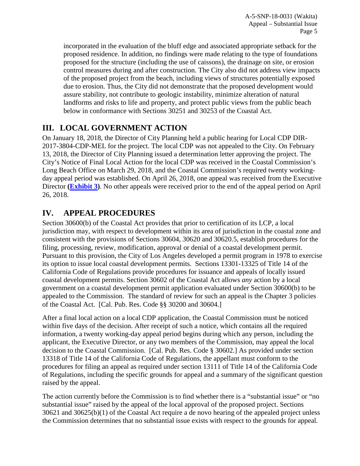incorporated in the evaluation of the bluff edge and associated appropriate setback for the proposed residence. In addition, no findings were made relating to the type of foundations proposed for the structure (including the use of caissons), the drainage on site, or erosion control measures during and after construction. The City also did not address view impacts of the proposed project from the beach, including views of structures potentially exposed due to erosion. Thus, the City did not demonstrate that the proposed development would assure stability, not contribute to geologic instability, minimize alteration of natural landforms and risks to life and property, and protect public views from the public beach below in conformance with Sections 30251 and 30253 of the Coastal Act.

### <span id="page-4-0"></span>**III. LOCAL GOVERNMENT ACTION**

On January 18, 2018, the Director of City Planning held a public hearing for Local CDP DIR-2017-3804-CDP-MEL for the project. The local CDP was not appealed to the City. On February 13, 2018, the Director of City Planning issued a determination letter approving the project. The City's Notice of Final Local Action for the local CDP was received in the Coastal Commission's Long Beach Office on March 29, 2018, and the Coastal Commission's required twenty workingday appeal period was established. On April 26, 2018, one appeal was received from the Executive Director **[\(Exhibit 3\)](https://documents.coastal.ca.gov/reports/2018/6/th9c/th9c-6-2018-exhibits.pdf)**. No other appeals were received prior to the end of the appeal period on April 26, 2018.

# <span id="page-4-1"></span>**IV. APPEAL PROCEDURES**

Section 30600(b) of the Coastal Act provides that prior to certification of its LCP, a local jurisdiction may, with respect to development within its area of jurisdiction in the coastal zone and consistent with the provisions of Sections 30604, 30620 and 30620.5, establish procedures for the filing, processing, review, modification, approval or denial of a coastal development permit. Pursuant to this provision, the City of Los Angeles developed a permit program in 1978 to exercise its option to issue local coastal development permits. Sections 13301-13325 of Title 14 of the California Code of Regulations provide procedures for issuance and appeals of locally issued coastal development permits. Section 30602 of the Coastal Act allows *any* action by a local government on a coastal development permit application evaluated under Section 30600(b) to be appealed to the Commission. The standard of review for such an appeal is the Chapter 3 policies of the Coastal Act. [Cal. Pub. Res. Code §§ 30200 and 30604.]

After a final local action on a local CDP application, the Coastal Commission must be noticed within five days of the decision. After receipt of such a notice, which contains all the required information, a twenty working-day appeal period begins during which any person, including the applicant, the Executive Director, or any two members of the Commission, may appeal the local decision to the Coastal Commission. [Cal. Pub. Res. Code § 30602.] As provided under section 13318 of Title 14 of the California Code of Regulations, the appellant must conform to the procedures for filing an appeal as required under section 13111 of Title 14 of the California Code of Regulations, including the specific grounds for appeal and a summary of the significant question raised by the appeal.

The action currently before the Commission is to find whether there is a "substantial issue" or "no substantial issue" raised by the appeal of the local approval of the proposed project. Sections 30621 and 30625(b)(1) of the Coastal Act require a de novo hearing of the appealed project unless the Commission determines that no substantial issue exists with respect to the grounds for appeal.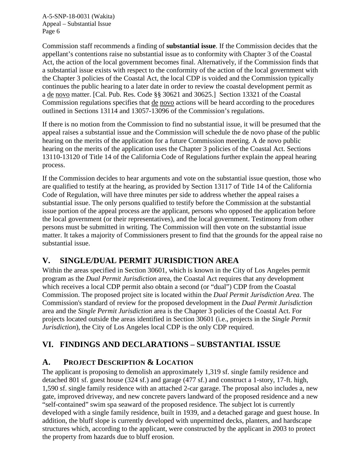Commission staff recommends a finding of **substantial issue**. If the Commission decides that the appellant's contentions raise no substantial issue as to conformity with Chapter 3 of the Coastal Act, the action of the local government becomes final. Alternatively, if the Commission finds that a substantial issue exists with respect to the conformity of the action of the local government with the Chapter 3 policies of the Coastal Act, the local CDP is voided and the Commission typically continues the public hearing to a later date in order to review the coastal development permit as a de novo matter. [Cal. Pub. Res. Code §§ 30621 and 30625.] Section 13321 of the Coastal Commission regulations specifies that de novo actions will be heard according to the procedures outlined in Sections 13114 and 13057-13096 of the Commission's regulations.

If there is no motion from the Commission to find no substantial issue, it will be presumed that the appeal raises a substantial issue and the Commission will schedule the de novo phase of the public hearing on the merits of the application for a future Commission meeting. A de novo public hearing on the merits of the application uses the Chapter 3 policies of the Coastal Act. Sections 13110-13120 of Title 14 of the California Code of Regulations further explain the appeal hearing process.

If the Commission decides to hear arguments and vote on the substantial issue question, those who are qualified to testify at the hearing, as provided by Section 13117 of Title 14 of the California Code of Regulation, will have three minutes per side to address whether the appeal raises a substantial issue. The only persons qualified to testify before the Commission at the substantial issue portion of the appeal process are the applicant, persons who opposed the application before the local government (or their representatives), and the local government. Testimony from other persons must be submitted in writing. The Commission will then vote on the substantial issue matter. It takes a majority of Commissioners present to find that the grounds for the appeal raise no substantial issue.

# <span id="page-5-0"></span>**V. SINGLE/DUAL PERMIT JURISDICTION AREA**

Within the areas specified in Section 30601, which is known in the City of Los Angeles permit program as the *Dual Permit Jurisdiction* area, the Coastal Act requires that any development which receives a local CDP permit also obtain a second (or "dual") CDP from the Coastal Commission. The proposed project site is located within the *Dual Permit Jurisdiction Area*. The Commission's standard of review for the proposed development in the *Dual Permit Jurisdiction* area and the *Single Permit Jurisdiction* area is the Chapter 3 policies of the Coastal Act. For projects located outside the areas identified in Section 30601 (i.e., projects in the *Single Permit Jurisdiction*), the City of Los Angeles local CDP is the only CDP required.

# <span id="page-5-1"></span>**VI. FINDINGS AND DECLARATIONS – SUBSTANTIAL ISSUE**

# <span id="page-5-2"></span>**A. PROJECT DESCRIPTION & LOCATION**

The applicant is proposing to demolish an approximately 1,319 sf. single family residence and detached 801 sf. guest house (324 sf.) and garage (477 sf.) and construct a 1-story, 17-ft. high, 1,590 sf. single family residence with an attached 2-car garage. The proposal also includes a, new gate, improved driveway, and new concrete pavers landward of the proposed residence and a new "self-contained" swim spa seaward of the proposed residence. The subject lot is currently developed with a single family residence, built in 1939, and a detached garage and guest house. In addition, the bluff slope is currently developed with unpermitted decks, planters, and hardscape structures which, according to the applicant, were constructed by the applicant in 2003 to protect the property from hazards due to bluff erosion.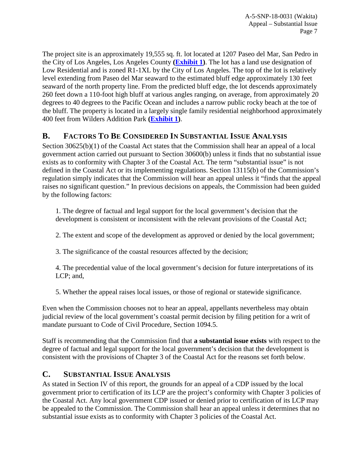The project site is an approximately 19,555 sq. ft. lot located at 1207 Paseo del Mar, San Pedro in the City of Los Angeles, Los Angeles County **[\(Exhibit 1\)](https://documents.coastal.ca.gov/reports/2018/6/th9c/th9c-6-2018-exhibits.pdf)**. The lot has a land use designation of Low Residential and is zoned R1-1XL by the City of Los Angeles. The top of the lot is relatively level extending from Paseo del Mar seaward to the estimated bluff edge approximately 130 feet seaward of the north property line. From the predicted bluff edge, the lot descends approximately 260 feet down a 110-foot high bluff at various angles ranging, on average, from approximately 20 degrees to 40 degrees to the Pacific Ocean and includes a narrow public rocky beach at the toe of the bluff. The property is located in a largely single family residential neighborhood approximately 400 feet from Wilders Addition Park **[\(Exhibit 1\)](https://documents.coastal.ca.gov/reports/2018/6/th9c/th9c-6-2018-exhibits.pdf)**.

### <span id="page-6-0"></span>**B. FACTORS TO BE CONSIDERED IN SUBSTANTIAL ISSUE ANALYSIS**

Section 30625(b)(1) of the Coastal Act states that the Commission shall hear an appeal of a local government action carried out pursuant to Section 30600(b) unless it finds that no substantial issue exists as to conformity with Chapter 3 of the Coastal Act. The term "substantial issue" is not defined in the Coastal Act or its implementing regulations. Section 13115(b) of the Commission's regulation simply indicates that the Commission will hear an appeal unless it "finds that the appeal raises no significant question." In previous decisions on appeals, the Commission had been guided by the following factors:

1. The degree of factual and legal support for the local government's decision that the development is consistent or inconsistent with the relevant provisions of the Coastal Act;

2. The extent and scope of the development as approved or denied by the local government;

3. The significance of the coastal resources affected by the decision;

4. The precedential value of the local government's decision for future interpretations of its LCP; and,

5. Whether the appeal raises local issues, or those of regional or statewide significance.

Even when the Commission chooses not to hear an appeal, appellants nevertheless may obtain judicial review of the local government's coastal permit decision by filing petition for a writ of mandate pursuant to Code of Civil Procedure, Section 1094.5.

Staff is recommending that the Commission find that **a substantial issue exists** with respect to the degree of factual and legal support for the local government's decision that the development is consistent with the provisions of Chapter 3 of the Coastal Act for the reasons set forth below.

#### <span id="page-6-1"></span>**C. SUBSTANTIAL ISSUE ANALYSIS**

As stated in Section IV of this report, the grounds for an appeal of a CDP issued by the local government prior to certification of its LCP are the project's conformity with Chapter 3 policies of the Coastal Act. Any local government CDP issued or denied prior to certification of its LCP may be appealed to the Commission. The Commission shall hear an appeal unless it determines that no substantial issue exists as to conformity with Chapter 3 policies of the Coastal Act.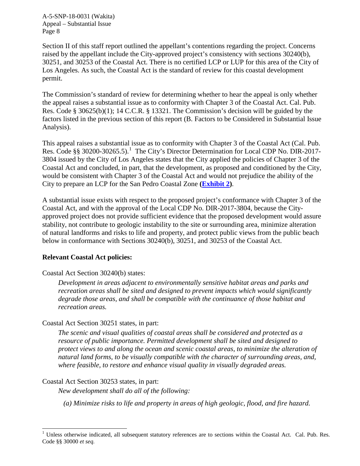Section II of this staff report outlined the appellant's contentions regarding the project. Concerns raised by the appellant include the City-approved project's consistency with sections 30240(b), 30251, and 30253 of the Coastal Act. There is no certified LCP or LUP for this area of the City of Los Angeles. As such, the Coastal Act is the standard of review for this coastal development permit.

The Commission's standard of review for determining whether to hear the appeal is only whether the appeal raises a substantial issue as to conformity with Chapter 3 of the Coastal Act. Cal. Pub. Res. Code § 30625(b)(1); 14 C.C.R. § 13321. The Commission's decision will be guided by the factors listed in the previous section of this report (B. Factors to be Considered in Substantial Issue Analysis).

This appeal raises a substantial issue as to conformity with Chapter 3 of the Coastal Act (Cal. Pub. Res. Code §§ 30200-30265.5).<sup>[1](#page-7-0)</sup> The City's Director Determination for Local CDP No. DIR-2017-3804 issued by the City of Los Angeles states that the City applied the policies of Chapter 3 of the Coastal Act and concluded, in part, that the development, as proposed and conditioned by the City, would be consistent with Chapter 3 of the Coastal Act and would not prejudice the ability of the City to prepare an LCP for the San Pedro Coastal Zone **[\(Exhibit 2\)](https://documents.coastal.ca.gov/reports/2018/6/th9c/th9c-6-2018-exhibits.pdf)**.

A substantial issue exists with respect to the proposed project's conformance with Chapter 3 of the Coastal Act, and with the approval of the Local CDP No. DIR-2017-3804, because the Cityapproved project does not provide sufficient evidence that the proposed development would assure stability, not contribute to geologic instability to the site or surrounding area, minimize alteration of natural landforms and risks to life and property, and protect public views from the public beach below in conformance with Sections 30240(b), 30251, and 30253 of the Coastal Act.

#### **Relevant Coastal Act policies:**

Coastal Act Section 30240(b) states:

*Development in areas adjacent to environmentally sensitive habitat areas and parks and recreation areas shall be sited and designed to prevent impacts which would significantly degrade those areas, and shall be compatible with the continuance of those habitat and recreation areas.* 

Coastal Act Section 30251 states, in part:

*The scenic and visual qualities of coastal areas shall be considered and protected as a resource of public importance. Permitted development shall be sited and designed to protect views to and along the ocean and scenic coastal areas, to minimize the alteration of natural land forms, to be visually compatible with the character of surrounding areas, and, where feasible, to restore and enhance visual quality in visually degraded areas.* 

#### Coastal Act Section 30253 states, in part:

*New development shall do all of the following:* 

 *(a) Minimize risks to life and property in areas of high geologic, flood, and fire hazard.* 

<span id="page-7-0"></span> $\overline{a}$  $1$  Unless otherwise indicated, all subsequent statutory references are to sections within the Coastal Act. Cal. Pub. Res. Code §§ 30000 *et seq.*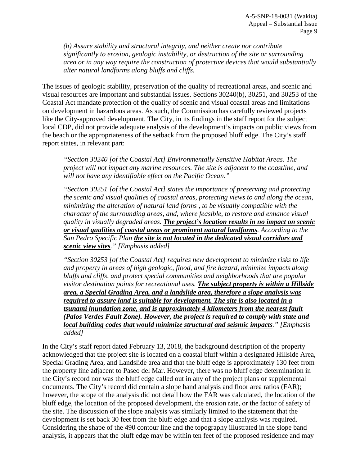*(b) Assure stability and structural integrity, and neither create nor contribute significantly to erosion, geologic instability, or destruction of the site or surrounding area or in any way require the construction of protective devices that would substantially alter natural landforms along bluffs and cliffs.* 

The issues of geologic stability, preservation of the quality of recreational areas, and scenic and visual resources are important and substantial issues. Sections 30240(b), 30251, and 30253 of the Coastal Act mandate protection of the quality of scenic and visual coastal areas and limitations on development in hazardous areas. As such, the Commission has carefully reviewed projects like the City-approved development. The City, in its findings in the staff report for the subject local CDP, did not provide adequate analysis of the development's impacts on public views from the beach or the appropriateness of the setback from the proposed bluff edge. The City's staff report states, in relevant part:

*"Section 30240 [of the Coastal Act] Environmentally Sensitive Habitat Areas. The project will not impact any marine resources. The site is adjacent to the coastline, and will not have any identifiable effect on the Pacific Ocean."* 

*"Section 30251 [of the Coastal Act] states the importance of preserving and protecting the scenic and visual qualities of coastal areas, protecting views to and along the ocean, minimizing the alteration of natural land forms , to be visually compatible with the character of the surrounding areas, and, where feasible, to restore and enhance visual quality in visually degraded areas. The project's location results in no impact on scenic or visual qualities of coastal areas or prominent natural landforms. According to the San Pedro Specific Plan the site is not located in the dedicated visual corridors and scenic view sites." [Emphasis added]* 

*"Section 30253 [of the Coastal Act] requires new development to minimize risks to life and property in areas of high geologic, flood, and fire hazard, minimize impacts along bluffs and cliffs, and protect special communities and neighborhoods that are popular visitor destination points for recreational uses. The subject property is within a Hillside area, a Special Grading Area, and a landslide area, therefore a slope analysis was required to assure land is suitable for development. The site is also located in a tsunami inundation zone, and is approximately 4 kilometers from the nearest fault (Palos Verdes Fault Zone). However, the project is required to comply with state and local building codes that would minimize structural and seismic impacts." [Emphasis added]*

In the City's staff report dated February 13, 2018, the background description of the property acknowledged that the project site is located on a coastal bluff within a designated Hillside Area, Special Grading Area, and Landslide area and that the bluff edge is approximately 130 feet from the property line adjacent to Paseo del Mar. However, there was no bluff edge determination in the City's record nor was the bluff edge called out in any of the project plans or supplemental documents. The City's record did contain a slope band analysis and floor area ratios (FAR); however, the scope of the analysis did not detail how the FAR was calculated, the location of the bluff edge, the location of the proposed development, the erosion rate, or the factor of safety of the site. The discussion of the slope analysis was similarly limited to the statement that the development is set back 30 feet from the bluff edge and that a slope analysis was required. Considering the shape of the 490 contour line and the topography illustrated in the slope band analysis, it appears that the bluff edge may be within ten feet of the proposed residence and may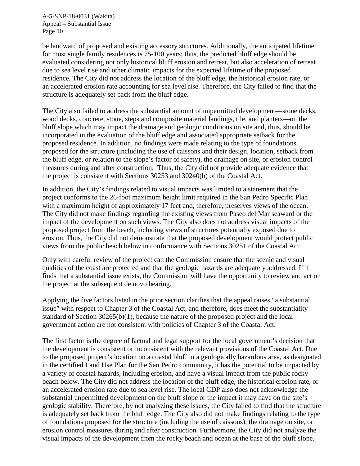be landward of proposed and existing accessory structures. Additionally, the anticipated lifetime for most single family residences is 75-100 years; thus, the predicted bluff edge should be evaluated considering not only historical bluff erosion and retreat, but also acceleration of retreat due to sea level rise and other climatic impacts for the expected lifetime of the proposed residence. The City did not address the location of the bluff edge, the historical erosion rate, or an accelerated erosion rate accounting for sea level rise. Therefore, the City failed to find that the structure is adequately set back from the bluff edge.

The City also failed to address the substantial amount of unpermitted development—stone decks, wood decks, concrete, stone, steps and composite material landings, tile, and planters—on the bluff slope which may impact the drainage and geologic conditions on site and, thus, should be incorporated in the evaluation of the bluff edge and associated appropriate setback for the proposed residence. In addition, no findings were made relating to the type of foundations proposed for the structure (including the use of caissons and their design, location, setback from the bluff edge, or relation to the slope's factor of safety), the drainage on site, or erosion control measures during and after construction. Thus, the City did not provide adequate evidence that the project is consistent with Sections 30253 and 30240(b) of the Coastal Act.

In addition, the City's findings related to visual impacts was limited to a statement that the project conforms to the 26-foot maximum height limit required in the San Pedro Specific Plan with a maximum height of approximately 17 feet and, therefore, preserves views of the ocean. The City did not make findings regarding the existing views from Paseo del Mar seaward or the impact of the development on such views. The City also does not address visual impacts of the proposed project from the beach, including views of structures potentially exposed due to erosion. Thus, the City did not demonstrate that the proposed development would protect public views from the public beach below in conformance with Sections 30251 of the Coastal Act.

Only with careful review of the project can the Commission ensure that the scenic and visual qualities of the coast are protected and that the geologic hazards are adequately addressed. If it finds that a substantial issue exists, the Commission will have the opportunity to review and act on the project at the subsequent de novo hearing.

Applying the five factors listed in the prior section clarifies that the appeal raises "a substantial issue" with respect to Chapter 3 of the Coastal Act, and therefore, does meet the substantiality standard of Section 30265(b)(1), because the nature of the proposed project and the local government action are not consistent with policies of Chapter 3 of the Coastal Act.

The first factor is the degree of factual and legal support for the local government's decision that the development is consistent or inconsistent with the relevant provisions of the Coastal Act. Due to the proposed project's location on a coastal bluff in a geologically hazardous area, as designated in the certified Land Use Plan for the San Pedro community, it has the potential to be impacted by a variety of coastal hazards, including erosion, and have a visual impact from the public rocky beach below. The City did not address the location of the bluff edge, the historical erosion rate, or an accelerated erosion rate due to sea level rise. The local CDP also does not acknowledge the substantial unpermitted development on the bluff slope or the impact it may have on the site's geologic stability. Therefore, by not analyzing these issues, the City failed to find that the structure is adequately set back from the bluff edge. The City also did not make findings relating to the type of foundations proposed for the structure (including the use of caissons), the drainage on site, or erosion control measures during and after construction. Furthermore, the City did not analyze the visual impacts of the development from the rocky beach and ocean at the base of the bluff slope.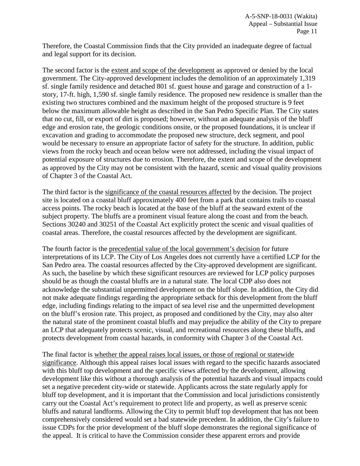Therefore, the Coastal Commission finds that the City provided an inadequate degree of factual and legal support for its decision.

The second factor is the extent and scope of the development as approved or denied by the local government. The City-approved development includes the demolition of an approximately 1,319 sf. single family residence and detached 801 sf. guest house and garage and construction of a 1 story, 17-ft. high, 1,590 sf. single family residence. The proposed new residence is smaller than the existing two structures combined and the maximum height of the proposed structure is 9 feet below the maximum allowable height as described in the San Pedro Specific Plan. The City states that no cut, fill, or export of dirt is proposed; however, without an adequate analysis of the bluff edge and erosion rate, the geologic conditions onsite, or the proposed foundations, it is unclear if excavation and grading to accommodate the proposed new structure, deck segment, and pool would be necessary to ensure an appropriate factor of safety for the structure. In addition, public views from the rocky beach and ocean below were not addressed, including the visual impact of potential exposure of structures due to erosion. Therefore, the extent and scope of the development as approved by the City may not be consistent with the hazard, scenic and visual quality provisions of Chapter 3 of the Coastal Act.

The third factor is the significance of the coastal resources affected by the decision. The project site is located on a coastal bluff approximately 400 feet from a park that contains trails to coastal access points. The rocky beach is located at the base of the bluff at the seaward extent of the subject property. The bluffs are a prominent visual feature along the coast and from the beach. Sections 30240 and 30251 of the Coastal Act explicitly protect the scenic and visual qualities of coastal areas. Therefore, the coastal resources affected by the development are significant.

The fourth factor is the precedential value of the local government's decision for future interpretations of its LCP. The City of Los Angeles does not currently have a certified LCP for the San Pedro area. The coastal resources affected by the City-approved development are significant. As such, the baseline by which these significant resources are reviewed for LCP policy purposes should be as though the coastal bluffs are in a natural state. The local CDP also does not acknowledge the substantial unpermitted development on the bluff slope. In addition, the City did not make adequate findings regarding the appropriate setback for this development from the bluff edge, including findings relating to the impact of sea level rise and the unpermitted development on the bluff's erosion rate. This project, as proposed and conditioned by the City, may also alter the natural state of the prominent coastal bluffs and may prejudice the ability of the City to prepare an LCP that adequately protects scenic, visual, and recreational resources along these bluffs, and protects development from coastal hazards, in conformity with Chapter 3 of the Coastal Act.

The final factor is whether the appeal raises local issues, or those of regional or statewide significance. Although this appeal raises local issues with regard to the specific hazards associated with this bluff top development and the specific views affected by the development, allowing development like this without a thorough analysis of the potential hazards and visual impacts could set a negative precedent city-wide or statewide. Applicants across the state regularly apply for bluff top development, and it is important that the Commission and local jurisdictions consistently carry out the Coastal Act's requirement to protect life and property, as well as preserve scenic bluffs and natural landforms. Allowing the City to permit bluff top development that has not been comprehensively considered would set a bad statewide precedent. In addition, the City's failure to issue CDPs for the prior development of the bluff slope demonstrates the regional significance of the appeal. It is critical to have the Commission consider these apparent errors and provide